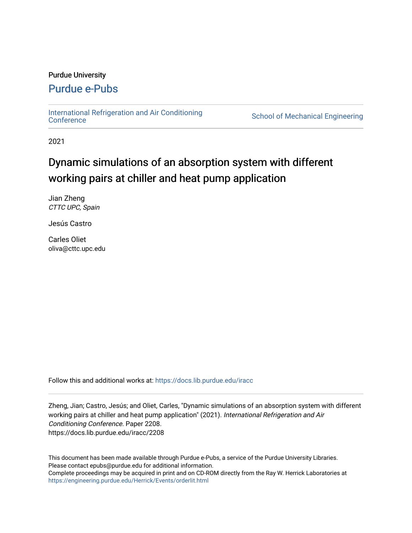# Purdue University

# [Purdue e-Pubs](https://docs.lib.purdue.edu/)

[International Refrigeration and Air Conditioning](https://docs.lib.purdue.edu/iracc) 

School of Mechanical Engineering

2021

# Dynamic simulations of an absorption system with different working pairs at chiller and heat pump application

Jian Zheng CTTC UPC, Spain

Jesús Castro

Carles Oliet oliva@cttc.upc.edu

Follow this and additional works at: [https://docs.lib.purdue.edu/iracc](https://docs.lib.purdue.edu/iracc?utm_source=docs.lib.purdue.edu%2Firacc%2F2208&utm_medium=PDF&utm_campaign=PDFCoverPages)

Zheng, Jian; Castro, Jesús; and Oliet, Carles, "Dynamic simulations of an absorption system with different working pairs at chiller and heat pump application" (2021). International Refrigeration and Air Conditioning Conference. Paper 2208. https://docs.lib.purdue.edu/iracc/2208

This document has been made available through Purdue e-Pubs, a service of the Purdue University Libraries. Please contact epubs@purdue.edu for additional information. Complete proceedings may be acquired in print and on CD-ROM directly from the Ray W. Herrick Laboratories at <https://engineering.purdue.edu/Herrick/Events/orderlit.html>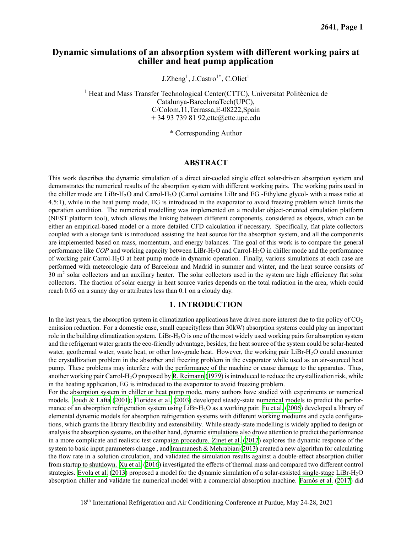# **Dynamic simulations of an absorption system with different working pairs at chiller and heat pump application**

J.Zheng<sup>1</sup>, J.Castro<sup>1\*</sup>, C.Oliet<sup>1</sup>

 $<sup>1</sup>$  Heat and Mass Transfer Technological Center(CTTC), Universitat Politècnica de</sup> Catalunya-BarcelonaTech(UPC), C/Colom,11,Terrassa,E-08222,Spain + 34 93 739 81 [92,cttc@cttc.upc.edu](mailto:92,cttc@cttc.upc.edu)

\* Corresponding Author

### **ABSTRACT**

 This work describes the dynamic simulation of a direct air-cooled single effect solar-driven absorption system and demonstrates the numerical results of the absorption system with different working pairs. The working pairs used in the chiller mode are LiBr-H<sub>2</sub>O and Carrol-H<sub>2</sub>O (Carrol contains LiBr and EG -Ethylene glycol- with a mass ratio at 4.5:1), while in the heat pump mode, EG is introduced in the evaporator to avoid freezing problem which limits the operation condition. The numerical modelling was implemented on a modular object-oriented simulation platform (NEST platform tool), which allows the linking between different components, considered as objects, which can be either an empirical-based model or a more detailed CFD calculation if necessary. Specifically, flat plate collectors coupled with a storage tank is introduced assisting the heat source for the absorption system, and all the components are implemented based on mass, momentum, and energy balances. The goal of this work is to compare the general performance like *COP* and working capacity between LiBr-H2O and Carrol-H2O in chiller mode and the performance of working pair Carrol-H<sub>2</sub>O at heat pump mode in dynamic operation. Finally, various simulations at each case are performed with meteorologic data of Barcelona and Madrid in summer and winter, and the heat source consists of 30  $m<sup>2</sup>$  solar collectors and an auxiliary heater. The solar collectors used in the system are high efficiency flat solar collectors. The fraction of solar energy in heat source varies depends on the total radiation in the area, which could reach 0.65 on a sunny day or attributes less than 0.1 on a cloudy day.

#### **1. INTRODUCTION**

In the last years, the absorption system in climatization applications have driven more interest due to the policy of  $\rm CO_2$  emission reduction. For a domestic case, small capacity(less than 30kW) absorption systems could play an important role in the building climatization system.  ${\rm LiBr\text{-}H_2O}$  is one of the most widely used working pairs for absorption system and the refrigerant water grants the eco-friendly advantage, besides, the heat source of the system could be solar-heated water, geothermal water, waste heat, or other low-grade heat. However, the working pair LiBr-H<sub>2</sub>O could encounter the crystallization problem in the absorber and freezing problem in the evaporator while used as an air-sourced heat pump. These problems may interfere with the performance of the machine or cause damage to the apparatus. Thus, another working pair Carrol-H2O proposed by R. [Reimann](#page-10-0) ([1979\)](#page-10-0) is introduced to reduce the crystallization risk, while in the heating application, EG is introduced to the evaporator to avoid freezing problem.

 For the absorption system in chiller or heat pump mode, many authors have studied with experiments or numerical models. [Joudi](#page-10-1) & Lafta ([2001\)](#page-10-1); [Florides](#page-10-2) et al. [\(2003](#page-10-2)) developed steady-state numerical models to predict the performance of an absorption refrigeration system using  $\rm LiBr\text{-}H_2O$  as a working pair. [Fu](#page-10-3) et al. [\(2006](#page-10-3)) developed a library of elemental dynamic models for absorption refrigeration systems with different working mediums and cycle configura- tions, which grants the library flexibility and extensibility. While steady-state modelling is widely applied to design or analysis the absorption systems, on the other hand, dynamic simulations also drove attention to predict the performance in a more complicate and realistic test campaign procedure. [Zinet](#page-10-4) et al. ([2012\)](#page-10-4) explores the dynamic response of the system to basic input parameters change, and [Iranmanesh](#page-10-5) & Mehrabian ([2013](#page-10-5)) created a new algorithm for calculating the flow rate in a solution circulation, and validated the simulation results against a double-effect absorption chiller from startup to shutdown. [Xu](#page-10-6) et al. [\(2016](#page-10-6)) investigated the effects of thermal mass and compared two different control strategies. [Evola](#page-10-7) et al. [\(2013](#page-10-7)) proposed a model for the dynamic simulation of a solar-assisted single-stage LiBr-H2O absorption chiller and validate the numerical model with a commercial absorption machine. [Farnós](#page-10-8) et al. [\(2017](#page-10-8)) did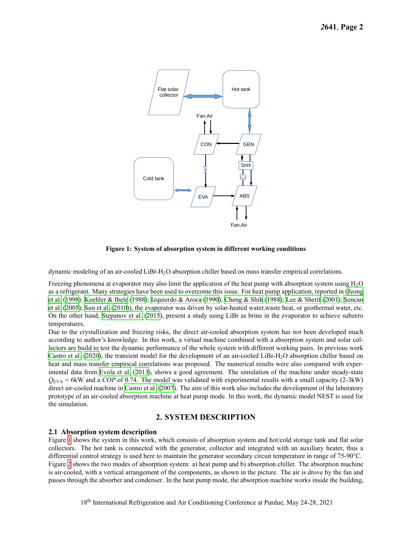<span id="page-2-0"></span>

**Figure 1: System of absorption system in different working conditions**

dynamic modeling of an air-cooled LiBr-H2O absorption chiller based on mass transfer empirical correlations.

Freezing phenomena at evaporator may also limit the application of the heat pump with absorption system using  $H_2O$  as a refrigerant. Many strategies have been used to overcome this issue. For heat pump application, reported in ([Jeong](#page-10-9) et [al.](#page-10-9) [\(1998](#page-10-9)); [Koehler](#page-10-10) & Ibele ([1988\)](#page-10-10); [Izquierdo](#page-10-11) & Aroca [\(1990](#page-10-11)); [Cheng](#page-9-0) & Shih ([1988](#page-9-0)); Lee & [Sherif](#page-10-12) ([2001\)](#page-10-12); [Şencan](#page-10-13) et [al.](#page-10-13) [\(2005](#page-10-13)); [Sun](#page-10-14) et al. [\(2010\)](#page-10-14)), the evaporator was driven by solar-heated water,waste heat, or geothermal water, etc. On the other hand, [Stepanov](#page-10-15) et al. ([2015\)](#page-10-15), present a study using LiBr as brine in the evaporator to achieve subzero temperatures.

 Due to the crystallization and freezing risks, the direct air-cooled absorption system has not been developed much according to author's knowledge. In this work, a virtual machine combined with a absorption system and solar col- lectors are build to test the dynamic performance of the whole system with different working pairs. In previous work [Castro](#page-9-1) et al. [\(2020](#page-9-1)), the transient model for the development of an air-cooled LiBr-H<sub>2</sub>O absorption chiller based on heat and mass transfer empirical correlations was proposed. The numerical results were also compared with exper- imental data from [Evola](#page-10-7) et al. ([2013\)](#page-10-7), shows a good agreement. The simulation of the machine under steady-state *Q*EVA = 6kW and a *COP* of 0.74. The model was validated with experimental results with a small capacity (2-3kW) direct air-cooled machine in [Castro](#page-9-2) et al. [\(2007](#page-9-2)). The aim of this work also includes the development of the laboratory prototype of an air-cooled absorption machine at heat pump mode. In this work, the dynamic model NEST is used for the simulation.

# **2. SYSTEM DESCRIPTION**

### **2.1 Absorption system description**

 Figure [1](#page-2-0) shows the system in this work, which consists of absorption system and hot/cold storage tank and flat solar collectors. The hot tank is connected with the generator, collector and integrated with an auxiliary heater, thus a differential control strategy is used here to maintain the generator secondary circuit temperature in range of 75-90°C. Figure [2](#page-3-0) shows the two modes of absorption system: a) heat pump and b) absorption chiller. The absorption machine is air-cooled, with a vertical arrangement of the components, as shown in the picture. The air is drove by the fan and passes through the absorber and condenser. In the heat pump mode, the absorption machine works inside the building,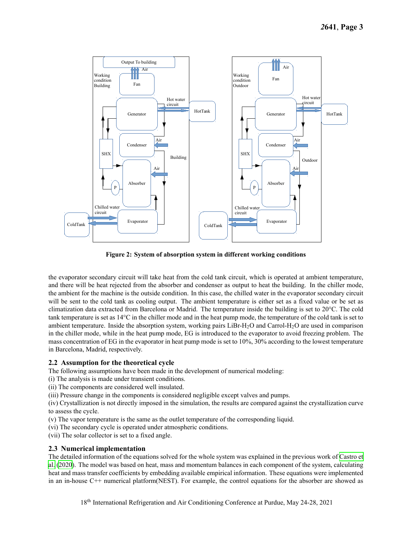<span id="page-3-0"></span>

a) Heat pump b) Absorption chiller **Figure 2: System of absorption system in different working conditions**

the evaporator secondary circuit will take heat from the cold tank circuit, which is operated at ambient temperature, and there will be heat rejected from the absorber and condenser as output to heat the building. In the chiller mode, the ambient for the machine is the outside condition. In this case, the chilled water in the evaporator secondary circuit will be sent to the cold tank as cooling output. The ambient temperature is either set as a fixed value or be set as climatization data extracted from Barcelona or Madrid. The temperature inside the building is set to 20°C. The cold tank temperature is set as 14°C in the chiller mode and in the heat pump mode, the temperature of the cold tank is set to ambient temperature. Inside the absorption system, working pairs LiBr-H<sub>2</sub>O and Carrol-H<sub>2</sub>O are used in comparison in the chiller mode, while in the heat pump mode, EG is introduced to the evaporator to avoid freezing problem. The mass concentration of EG in the evaporator in heat pump mode is set to 10%, 30% according to the lowest temperature in Barcelona, Madrid, respectively.

# **2.2 Assumption for the theoretical cycle**

The following assumptions have been made in the development of numerical modeling:

- (i) The analysis is made under transient conditions.
- (ii) The components are considered well insulated.

(iii) Pressure change in the components is considered negligible except valves and pumps.

(iv) Crystallization is not directly imposed in the simulation, the results are compared against the crystallization curve to assess the cycle.

- (v) The vapor temperature is the same as the outlet temperature of the corresponding liquid.
- (vi) The secondary cycle is operated under atmospheric conditions.
- (vii) The solar collector is set to a fixed angle.

#### **2.3 Numerical implementation**

The detailed information of the equations solved for the whole system was explained in the previous work of [Castro](#page-9-1) et [al.](#page-9-1) [\(2020](#page-9-1)). The model was based on heat, mass and momentum balances in each component of the system, calculating heat and mass transfer coefficients by embedding available empirical information. These equations were implemented in an in-house C++ numerical platform(NEST). For example, the control equations for the absorber are showed as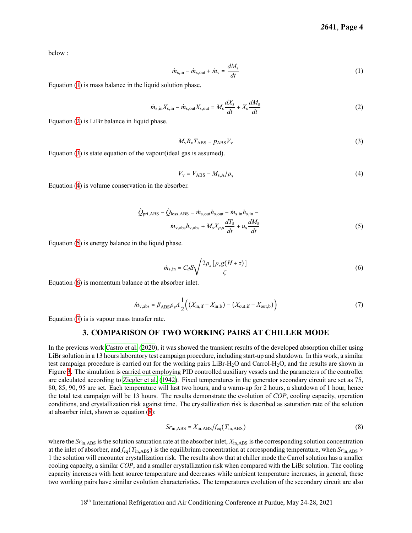below :

<span id="page-4-0"></span>
$$
\dot{m}_{\rm s,in} - \dot{m}_{\rm s,out} + \dot{m}_{\rm v} = \frac{dM_{\rm s}}{dt} \tag{1}
$$

Equation ([1\)](#page-4-0) is mass balance in the liquid solution phase.

<span id="page-4-1"></span>
$$
\dot{m}_{\rm s,in}X_{\rm s,in} - \dot{m}_{\rm s,out}X_{\rm s,out} = M_{\rm s}\frac{dX_{\rm s}}{dt} + X_{\rm s}\frac{dM_{\rm s}}{dt} \tag{2}
$$

Equation ([2\)](#page-4-1) is LiBr balance in liquid phase.

<span id="page-4-2"></span>
$$
M_{\rm v}R_{\rm v}T_{\rm ABS}=p_{\rm ABS}V_{\rm v} \tag{3}
$$

Equation ([3\)](#page-4-2) is state equation of the vapour(ideal gas is assumed).

<span id="page-4-3"></span>
$$
V_{\rm v} = V_{\rm ABS} - M_{\rm s,A}/\rho_{\rm s} \tag{4}
$$

Equation ([4\)](#page-4-3) is volume conservation in the absorber.

<span id="page-4-4"></span>
$$
\dot{Q}_{\text{pri,ABS}} - \dot{Q}_{\text{loss,ABS}} = \dot{m}_{\text{s,out}} h_{\text{s,out}} - \dot{m}_{\text{s,in}} h_{\text{s,in}} - \dot{m}_{\text{v,abs}} h_{\text{v,abs}} + M_{\text{s}} X_{p,\text{s}} \frac{dT_{\text{s}}}{dt} + u_{\text{s}} \frac{dM_{\text{s}}}{dt}
$$
\n
$$
(5)
$$

Equation ([5\)](#page-4-4) is energy balance in the liquid phase.

<span id="page-4-5"></span>
$$
\dot{m}_{\rm s,in} = C_d S \sqrt{\frac{2\rho_s \left[\rho_s g (H+z)\right]}{\zeta}}\tag{6}
$$

Equation ([6\)](#page-4-5) is momentum balance at the absorber inlet.

<span id="page-4-6"></span>
$$
\dot{m}_{\rm v,abs} = \beta_{\rm ABS}\rho_{\rm s}A\frac{1}{2}\Big((X_{\rm in,if}-X_{\rm in,b})-(X_{\rm out,if}-X_{\rm out,b})\Big) \tag{7}
$$

Equation ([7\)](#page-4-6) is is vapour mass transfer rate.

#### **3. COMPARISON OF TWO WORKING PAIRS AT CHILLER MODE**

In the previous work [Castro](#page-9-1) et al. ([2020](#page-9-1)), it was showed the transient results of the developed absorption chiller using LiBr solution in a 13 hours laboratory test campaign procedure, including start-up and shutdown. In this work, a similar test campaign procedure is carried out for the working pairs LiBr-H<sub>2</sub>O and Carrol-H<sub>2</sub>O, and the results are shown in Figure [3](#page-6-0). The simulation is carried out employing PID controlled auxiliary vessels and the parameters of the controller are calculated according to [Ziegler](#page-10-16) et al. [\(1942](#page-10-16)). Fixed temperatures in the generator secondary circuit are set as 75, 80, 85, 90, 95 are set. Each temperature will last two hours, and a warm-up for 2 hours, a shutdown of 1 hour, hence the total test campaign will be 13 hours. The results demonstrate the evolution of *COP*, cooling capacity, operation conditions, and crystallization risk against time. The crystallization risk is described as saturation rate of the solution at absorber inlet, shown as equation ([8\)](#page-4-7):

<span id="page-4-7"></span>
$$
Srin,ABS = Xin,ABS/feq(Tin,ABS)
$$
\n(8)

 where the *Sr*in*,*ABS isthe solution saturation rate at the absorber inlet, *X*in*,*ABS isthe corresponding solution concentration at the inlet of absorber, and  $f_{eq}(T_{in,ABS})$  is the equilibrium concentration at corresponding temperature, when  $Sr_{in,ABS}$  > 1 the solution will encounter crystallization risk. The results show that at chiller mode the Carrol solution has a smaller cooling capacity, a similar *COP*, and a smaller crystallization risk when compared with the LiBr solution. The cooling capacity increases with heat source temperature and decreases while ambient temperature increases, in general, these two working pairs have similar evolution characteristics. The temperatures evolution of the secondary circuit are also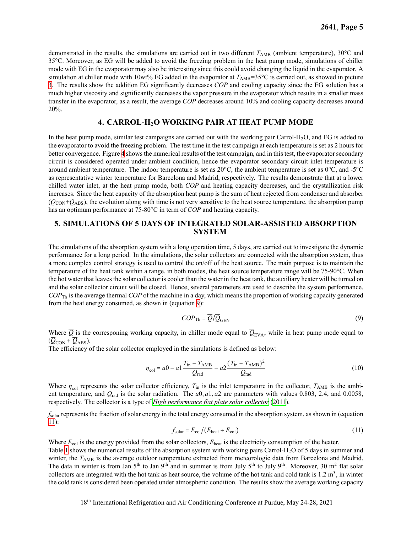demonstrated in the results, the simulations are carried out in two different *T*<sub>AMB</sub> (ambient temperature), 30°C and 35°C. Moreover, as EG will be added to avoid the freezing problem in the heat pump mode, simulations of chiller mode with EG in the evaporator may also be interesting since this could avoid changing the liquid in the evaporator. A simulation at chiller mode with 10wt% EG added in the evaporator at  $T_{\text{AMB}}=35^{\circ}\text{C}$  is carried out, as showed in picture [3.](#page-6-0) The results show the addition EG significantly decreases *COP* and cooling capacity since the EG solution has a much higher viscosity and significantly decreases the vapor pressure in the evaporator which results in a smaller mass transfer in the evaporator, as a result, the average *COP* decreases around 10% and cooling capacity decreases around 20%.

# **4. CARROL-H**2**O WORKING PAIR AT HEAT PUMP MODE**

In the heat pump mode, similar test campaigns are carried out with the working pair Carrol-H<sub>2</sub>O, and EG is added to the evaporator to avoid the freezing problem. The test time in the test campaign at each temperature is set as 2 hours for better convergence. Figure [4](#page-7-0) shows the numerical results of the test campaign, and in this test, the evaporator secondary circuit is considered operated under ambient condition, hence the evaporator secondary circuit inlet temperature is around ambient temperature. The indoor temperature is set as 20°C, the ambient temperature is set as 0°C, and -5°C as representative winter temperature for Barcelona and Madrid, respectively. The results demonstrate that at a lower chilled water inlet, at the heat pump mode, both *COP* and heating capacity decreases, and the crystallization risk increases. Since the heat capacity of the absorption heat pump is the sum of heat rejected from condenser and absorber  $(Q<sub>CON</sub>+Q<sub>ABS</sub>)$ , the evolution along with time is not very sensitive to the heat source temperature, the absorption pump has an optimum performance at 75-80°C in term of *COP* and heating capacity.

# **5. SIMULATIONS OF 5 DAYS OF INTEGRATED SOLAR-ASSISTED ABSORPTION SYSTEM**

The simulations of the absorption system with a long operation time, 5 days, are carried out to investigate the dynamic performance for a long period. In the simulations, the solar collectors are connected with the absorption system, thus a more complex control strategy is used to control the on/off of the heat source. The main purpose is to maintain the temperature of the heat tank within a range, in both modes, the heat source temperature range will be 75-90°C. When the hot water that leaves the solar collector is cooler than the water in the heat tank, the auxiliary heater will be turned on and the solar collector circuit will be closed. Hence, several parameters are used to describe the system performance. *COP*Th is the average thermal *COP* of the machine in a day, which means the proportion of working capacity generated from the heat energy consumed, as shown in (equation [9](#page-5-0)):

<span id="page-5-0"></span>
$$
COP_{\text{Th}} = \overline{Q}/\overline{Q}_{\text{GEN}} \tag{9}
$$

Where  $\overline{Q}$  is the corresponing working capacity, in chiller mode equal to  $\overline{Q}_{EVA}$ , while in heat pump mode equal to  $(\overline{Q}_{\text{CON}} + \overline{Q}_{\text{ABS}}).$ 

The efficiency of the solar collector employed in the simulations is defined as below:

$$
\eta_{\text{col}} = a0 - a1 \frac{T_{\text{in}} - T_{\text{AMB}}}{Q_{\text{rad}}} - a2 \frac{(T_{\text{in}} - T_{\text{AMB}})^2}{Q_{\text{rad}}}
$$
(10)

Where  $\eta_{\text{col}}$  represents the solar collector efficiency,  $T_{\text{in}}$  is the inlet temperature in the collector,  $T_{\text{AMB}}$  is the ambient temperature, and  $Q_{rad}$  is the solar radiation. The  $a0$ ,  $a1$ ,  $a2$  are parameters with values 0.803, 2.4, and 0.0058, respectively. The collector is a type of *High [performance](#page-10-17) flat plate solar collector* [\(2011](#page-10-17)).

*f*solar represents the fraction of solar energy in the total energy consumed in the absorption system, as shown in (equation [11\)](#page-5-1):

<span id="page-5-1"></span>
$$
f_{\text{solar}} = E_{\text{col}} / (E_{\text{heat}} + E_{\text{col}}) \tag{11}
$$

Where  $E_{\text{col}}$  is the energy provided from the solar collectors,  $E_{\text{heat}}$  is the electricity consumption of the heater. Table [1](#page-8-0) shows the numerical results of the absorption system with working pairs Carrol-H<sub>2</sub>O of 5 days in summer and collectors are integrated with the hot tank as heat source, the volume of the hot tank and cold tank is 1.2 m<sup>3</sup>, in winter the cold tank is considered been operated under atmospheric condition. The results show the average working capacity winter, the *T*<sub>AMB</sub> is the average outdoor temperature extracted from meteorologic data from Barcelona and Madrid. The data in winter is from Jan 5<sup>th</sup> to Jan 9<sup>th</sup> and in summer is from July 5<sup>th</sup> to July 9<sup>th</sup>. Moreover, 30 m<sup>2</sup> flat solar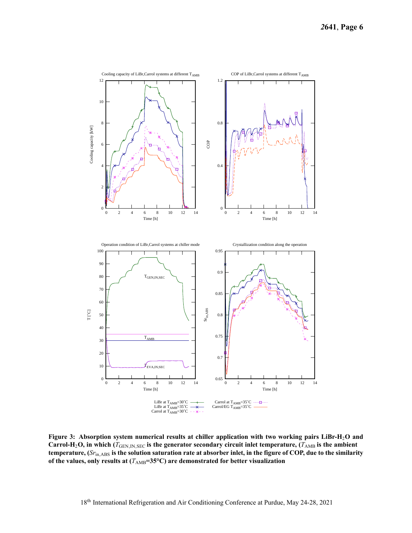<span id="page-6-0"></span>

Figure 3: Absorption system numerical results at chiller application with two working pairs LiBr-H<sub>2</sub>O and Carrol-H<sub>2</sub>O, in which ( $T_{\text{GEN,IN,SEC}}$  is the generator secondary circuit inlet temperature, ( $T_{\text{AMB}}$  is the ambient temperature, (S $r_{\rm in,ABS}$  is the solution saturation rate at absorber inlet, in the figure of COP, due to the similarity  **of the values, only results at (***T*AMB**=35°C) are demonstrated for better visualization**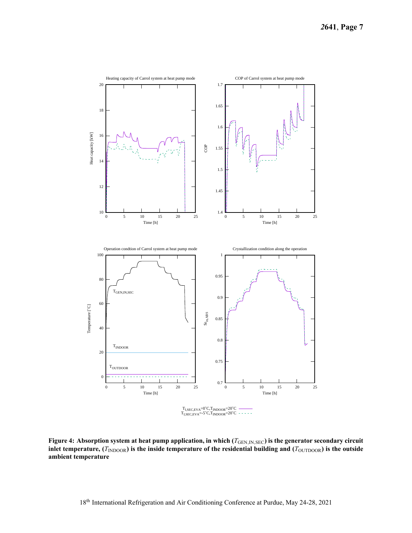<span id="page-7-0"></span>

Figure 4: Absorption system at heat pump application, in which ( $T_{\text{GEN,IN,SEC}}$ ) is the generator secondary circuit inlet temperature,  $(T_{\text{INDOOR}})$  is the inside temperature of the residential building and  $(T_{\text{OUTDOOR}})$  is the outside **ambient temperature**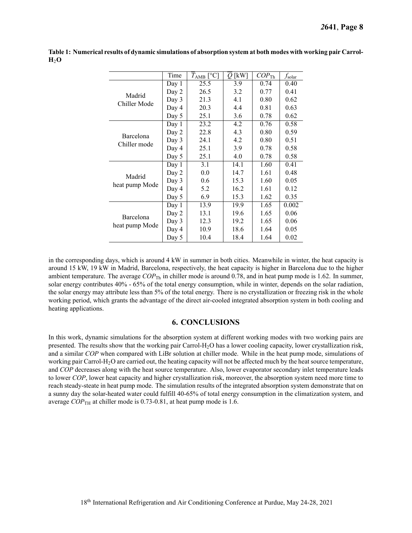|                             | Time  | $TAMB$ [°C] | $Q$ [kW] | $COP_{\text{Th}}$ | $f_{\rm solar}$ |
|-----------------------------|-------|-------------|----------|-------------------|-----------------|
| Madrid<br>Chiller Mode      | Day 1 | 25.5        | 3.9      | 0.74              | 0.40            |
|                             | Day 2 | 26.5        | 3.2      | 0.77              | 0.41            |
|                             | Day 3 | 21.3        | 4.1      | 0.80              | 0.62            |
|                             | Day 4 | 20.3        | 4.4      | 0.81              | 0.63            |
|                             | Day 5 | 25.1        | 3.6      | 0.78              | 0.62            |
| Barcelona<br>Chiller mode   | Day 1 | 23.2        | 4.2      | 0.76              | 0.58            |
|                             | Day 2 | 22.8        | 4.3      | 0.80              | 0.59            |
|                             | Day 3 | 24.1        | 4.2      | 0.80              | 0.51            |
|                             | Day 4 | 25.1        | 3.9      | 0.78              | 0.58            |
|                             | Day 5 | 25.1        | 4.0      | 0.78              | 0.58            |
| Madrid<br>heat pump Mode    | Day 1 | 3.1         | 14.1     | 1.60              | 0.41            |
|                             | Day 2 | 0.0         | 14.7     | 1.61              | 0.48            |
|                             | Day 3 | 0.6         | 15.3     | 1.60              | 0.05            |
|                             | Day 4 | 5.2         | 16.2     | 1.61              | 0.12            |
|                             | Day 5 | 6.9         | 15.3     | 1.62              | 0.35            |
| Barcelona<br>heat pump Mode | Day 1 | 13.9        | 19.9     | 1.65              | 0.002           |
|                             | Day 2 | 13.1        | 19.6     | 1.65              | 0.06            |
|                             | Day 3 | 12.3        | 19.2     | 1.65              | 0.06            |
|                             | Day 4 | 10.9        | 18.6     | 1.64              | 0.05            |
|                             | Day 5 | 10.4        | 18.4     | 1.64              | 0.02            |

<span id="page-8-0"></span>Table 1: Numerical results of dynamic simulations of absorption system at both modes with working pair Carrol-**H**2**O**

 in the corresponding days, which is around 4 kW in summer in both cities. Meanwhile in winter, the heat capacity is around 15 kW, 19 kW in Madrid, Barcelona, respectively, the heat capacity is higher in Barcelona due to the higher ambient temperature. The average  $COP_{\text{Th}}$  in chiller mode is around 0.78, and in heat pump mode is 1.62. In summer, solar energy contributes 40% - 65% of the total energy consumption, while in winter, depends on the solar radiation, the solar energy may attribute less than 5% of the total energy. There is no crystallization or freezing risk in the whole working period, which grants the advantage of the direct air-cooled integrated absorption system in both cooling and heating applications.

# **6. CONCLUSIONS**

 In this work, dynamic simulations for the absorption system at different working modes with two working pairs are presented. The results show that the working pair Carrol-H<sub>2</sub>O has a lower cooling capacity, lower crystallization risk, and a similar *COP* when compared with LiBr solution at chiller mode. While in the heat pump mode, simulations of working pair Carrol-H<sub>2</sub>O are carried out, the heating capacity will not be affected much by the heat source temperature, and *COP* decreases along with the heat source temperature. Also, lower evaporator secondary inlet temperature leads to lower *COP*, lower heat capacity and higher crystallization risk, moreover, the absorption system need more time to reach steady-steate in heat pump mode. The simulation results of the integrated absorption system demonstrate that on a sunny day the solar-heated water could fulfill 40-65% of total energy consumption in the climatization system, and average *COP*<sub>TH</sub> at chiller mode is [0.73-0.81](https://0.73-0.81), at heat pump mode is 1.6.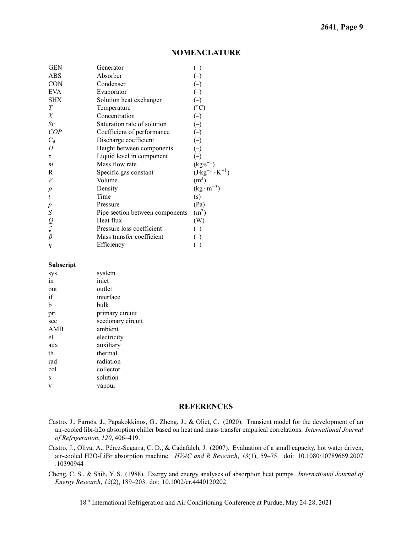# **NOMENCLATURE**

| <b>GEN</b>                          | Generator                       | $(\hbox{--})$                    |
|-------------------------------------|---------------------------------|----------------------------------|
| ABS                                 | Absorber                        |                                  |
| <b>CON</b>                          | Condenser                       | $(\hbox{--})$                    |
| <b>EVA</b>                          | Evaporator                      | $(-)$                            |
| <b>SHX</b>                          | Solution heat exchanger         |                                  |
| T                                   | Temperature                     | $(^\circ C)$                     |
| X                                   | Concentration                   | $\left(\text{-}\right)$          |
| Sr                                  | Saturation rate of solution     | $\overline{(-)}$                 |
| COP                                 | Coefficient of performance      | $(-)$                            |
| $C_d$                               | Discharge coefficient           | $(\text{--})$                    |
| H                                   | Height between components       | $\left( -\right)$                |
| z                                   | Liquid level in component       | $(\hbox{--})$                    |
| $\dot{m}$                           | Mass flow rate                  | $(kg·s^{-1})$                    |
| R                                   | Specific gas constant           | $(J \cdot kg^{-1} \cdot K^{-1})$ |
| V                                   | Volume                          | (m <sup>3</sup> )                |
| $\rho$                              | Density                         | $(kg \cdot m^{-3})$              |
| $\boldsymbol{t}$                    | Time                            | (s)                              |
| $\boldsymbol{p}$                    | Pressure                        | (Pa)                             |
|                                     | Pipe section between components | (m <sup>2</sup> )                |
| $S$ <sub><math>\dot{Q}</math></sub> | Heat flux                       | (W)                              |
|                                     | Pressure loss coefficient       | $(-)$                            |
| $\beta$                             | Mass transfer coefficient       |                                  |
| η                                   | Efficiency                      | $(\hbox{--})$                    |
|                                     |                                 |                                  |

#### **Subscript**

| sys | system            |
|-----|-------------------|
| in  | inlet             |
| out | outlet            |
| if  | interface         |
| h   | bulk              |
| pri | primary circuit   |
| sec | secdonary circuit |
| AMB | ambient           |
| el  | electricity       |
| aux | auxiliary         |
| th  | thermal           |
| rad | radiation         |
| col | collector         |
| S   | solution          |
| V   | vapour            |
|     |                   |

#### **REFERENCES**

<span id="page-9-1"></span>Castro, J., Farnós, J., Papakokkinos, G., Zheng, J., & Oliet, C. (2020). Transient model for the development of an air-cooled libr-h2o absorption chiller based on heat and mass transfer empirical correlations. *International Journal of Refrigeration*, *120*, 406–419.

<span id="page-9-2"></span>Castro, J., Oliva, A., Pérez-Segarra, C. D., & Cadafalch, J. (2007). Evaluation of a small capacity, hot water driven, air-cooled H2O-LiBr absorption machine. *HVAC and R Research*, *13*(1), 59–75. doi: 10.1080/10789669.2007 .10390944

<span id="page-9-0"></span>Cheng, C. S., & Shih, Y. S. (1988). Exergy and energy analyses of absorption heat pumps. *International Journal of Energy Research*, *12*(2), 189–203. doi: 10.1002/er.4440120202